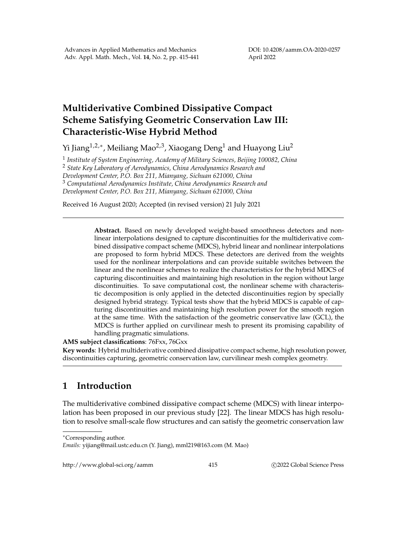DOI: 10.4208/aamm.OA-2020-0257 April 2022

## **Multiderivative Combined Dissipative Compact Scheme Satisfying Geometric Conservation Law III: Characteristic-Wise Hybrid Method**

Yi Jiang $^{1,2,*}$ , Meiliang Mao $^{2,3}$ , Xiaogang Deng $^1$  and Huayong Liu $^2$ 

1 *Institute of System Engineering, Academy of Military Sciences, Beijing 100082, China* <sup>2</sup> *State Key Laboratory of Aerodynamics, China Aerodynamics Research and Development Center, P.O. Box 211, Mianyang, Sichuan 621000, China* <sup>3</sup> *Computational Aerodynamics Institute, China Aerodynamics Research and Development Center, P.O. Box 211, Mianyang, Sichuan 621000, China*

Received 16 August 2020; Accepted (in revised version) 21 July 2021

**Abstract.** Based on newly developed weight-based smoothness detectors and nonlinear interpolations designed to capture discontinuities for the multiderivative combined dissipative compact scheme (MDCS), hybrid linear and nonlinear interpolations are proposed to form hybrid MDCS. These detectors are derived from the weights used for the nonlinear interpolations and can provide suitable switches between the linear and the nonlinear schemes to realize the characteristics for the hybrid MDCS of capturing discontinuities and maintaining high resolution in the region without large discontinuities. To save computational cost, the nonlinear scheme with characteristic decomposition is only applied in the detected discontinuities region by specially designed hybrid strategy. Typical tests show that the hybrid MDCS is capable of capturing discontinuities and maintaining high resolution power for the smooth region at the same time. With the satisfaction of the geometric conservative law (GCL), the MDCS is further applied on curvilinear mesh to present its promising capability of handling pragmatic simulations.

**AMS subject classifications**: 76Fxx, 76Gxx

**Key words**: Hybrid multiderivative combined dissipative compact scheme, high resolution power, discontinuities capturing, geometric conservation law, curvilinear mesh complex geometry.

## **1 Introduction**

The multiderivative combined dissipative compact scheme (MDCS) with linear interpolation has been proposed in our previous study [22]. The linear MDCS has high resolution to resolve small-scale flow structures and can satisfy the geometric conservation law

http://www.global-sci.org/aamm 415 
415 C 2022 Global Science Press

<sup>∗</sup>Corresponding author.

*Emails:* yijiang@mail.ustc.edu.cn (Y. Jiang), mml219@163.com (M. Mao)